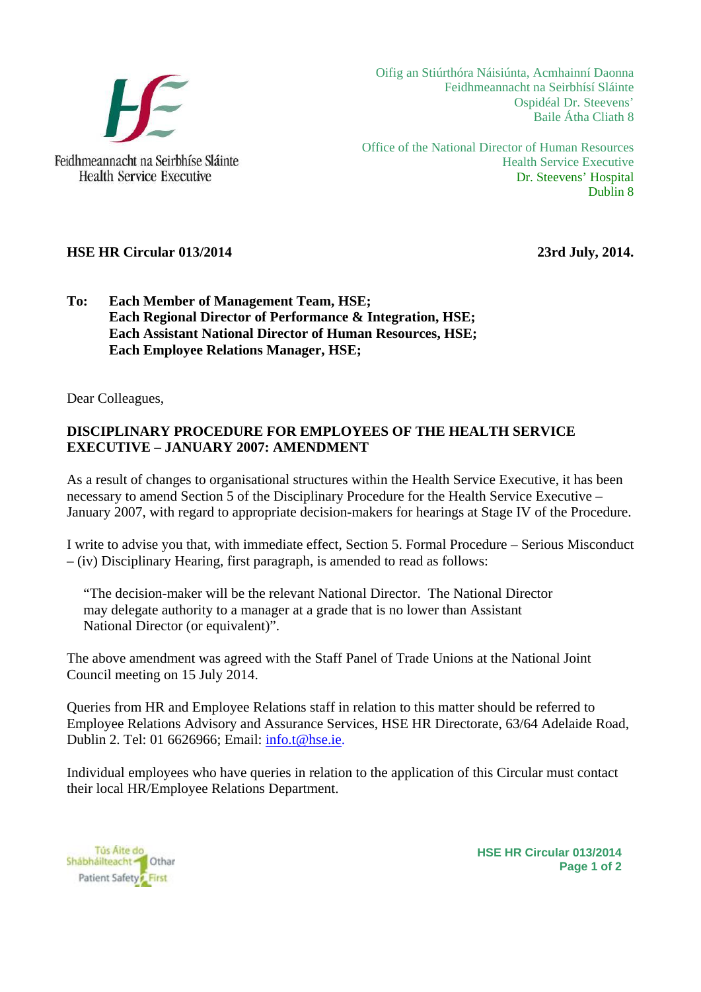

Oifig an Stiúrthóra Náisiúnta, Acmhainní Daonna Feidhmeannacht na Seirbhísí Sláinte Ospidéal Dr. Steevens' Baile Átha Cliath 8

Office of the National Director of Human Resources Health Service Executive Dr. Steevens' Hospital Dublin 8

## **HSE HR Circular 013/2014** 23rd July, 2014.

## **To: Each Member of Management Team, HSE; Each Regional Director of Performance & Integration, HSE; Each Assistant National Director of Human Resources, HSE; Each Employee Relations Manager, HSE;**

Dear Colleagues,

## **DISCIPLINARY PROCEDURE FOR EMPLOYEES OF THE HEALTH SERVICE EXECUTIVE – JANUARY 2007: AMENDMENT**

As a result of changes to organisational structures within the Health Service Executive, it has been necessary to amend Section 5 of the Disciplinary Procedure for the Health Service Executive – January 2007, with regard to appropriate decision-makers for hearings at Stage IV of the Procedure.

I write to advise you that, with immediate effect, Section 5. Formal Procedure – Serious Misconduct – (iv) Disciplinary Hearing, first paragraph, is amended to read as follows:

"The decision-maker will be the relevant National Director. The National Director may delegate authority to a manager at a grade that is no lower than Assistant National Director (or equivalent)".

The above amendment was agreed with the Staff Panel of Trade Unions at the National Joint Council meeting on 15 July 2014.

Queries from HR and Employee Relations staff in relation to this matter should be referred to Employee Relations Advisory and Assurance Services, HSE HR Directorate, 63/64 Adelaide Road, Dublin 2. Tel: 01 6626966; Email: info.t@hse.ie.

Individual employees who have queries in relation to the application of this Circular must contact their local HR/Employee Relations Department.

Tús Aite do Shábháilteacht <sup>1</sup> Othar Patient Safety First

**HSE HR Circular 013/2014 Page 1 of 2**